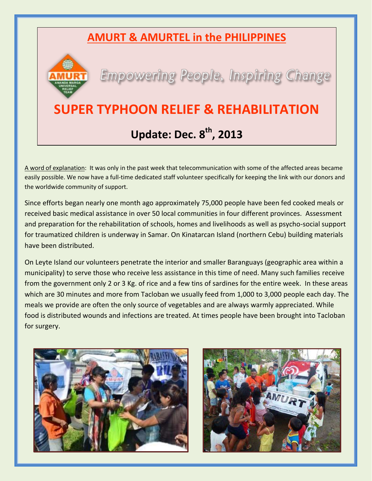## **AMURT & AMURTEL in the PHILIPPINES**



**Empowering People, Inspiring Change** 

## **SUPER TYPHOON RELIEF & REHABILITATION Update: Dec. 8th, 2013**

A word of explanation: It was only in the past week that telecommunication with some of the affected areas became easily possible. We now have a full-time dedicated staff volunteer specifically for keeping the link with our donors and the worldwide community of support.

Since efforts began nearly one month ago approximately 75,000 people have been fed cooked meals or received basic medical assistance in over 50 local communities in four different provinces. Assessment and preparation for the rehabilitation of schools, homes and livelihoods as well as psycho-social support for traumatized children is underway in Samar. On Kinatarcan Island (northern Cebu) building materials have been distributed.

On Leyte Island our volunteers penetrate the interior and smaller Baranguays (geographic area within a municipality) to serve those who receive less assistance in this time of need. Many such families receive from the government only 2 or 3 Kg. of rice and a few tins of sardines for the entire week. In these areas which are 30 minutes and more from Tacloban we usually feed from 1,000 to 3,000 people each day. The meals we provide are often the only source of vegetables and are always warmly appreciated. While food is distributed wounds and infections are treated. At times people have been brought into Tacloban for surgery.



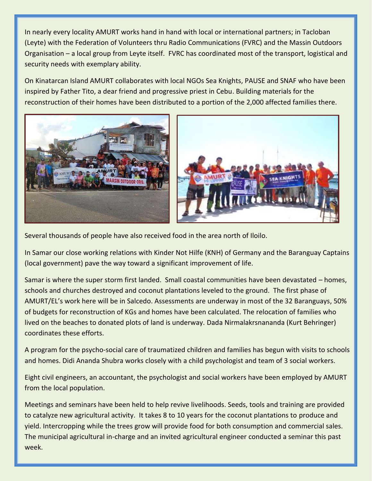In nearly every locality AMURT works hand in hand with local or international partners; in Tacloban (Leyte) with the Federation of Volunteers thru Radio Communications (FVRC) and the Massin Outdoors Organisation – a local group from Leyte itself. FVRC has coordinated most of the transport, logistical and security needs with exemplary ability.

On Kinatarcan Island AMURT collaborates with local NGOs Sea Knights, PAUSE and SNAF who have been inspired by Father Tito, a dear friend and progressive priest in Cebu. Building materials for the reconstruction of their homes have been distributed to a portion of the 2,000 affected families there.



Several thousands of people have also received food in the area north of Iloilo.

In Samar our close working relations with Kinder Not Hilfe (KNH) of Germany and the Baranguay Captains (local government) pave the way toward a significant improvement of life.

Samar is where the super storm first landed. Small coastal communities have been devastated – homes, schools and churches destroyed and coconut plantations leveled to the ground. The first phase of AMURT/EL's work here will be in Salcedo. Assessments are underway in most of the 32 Baranguays, 50% of budgets for reconstruction of KGs and homes have been calculated. The relocation of families who lived on the beaches to donated plots of land is underway. Dada Nirmalakrsnananda (Kurt Behringer) coordinates these efforts.

A program for the psycho-social care of traumatized children and families has begun with visits to schools and homes. Didi Ananda Shubra works closely with a child psychologist and team of 3 social workers.

Eight civil engineers, an accountant, the psychologist and social workers have been employed by AMURT from the local population.

Meetings and seminars have been held to help revive livelihoods. Seeds, tools and training are provided to catalyze new agricultural activity. It takes 8 to 10 years for the coconut plantations to produce and yield. Intercropping while the trees grow will provide food for both consumption and commercial sales. The municipal agricultural in-charge and an invited agricultural engineer conducted a seminar this past week.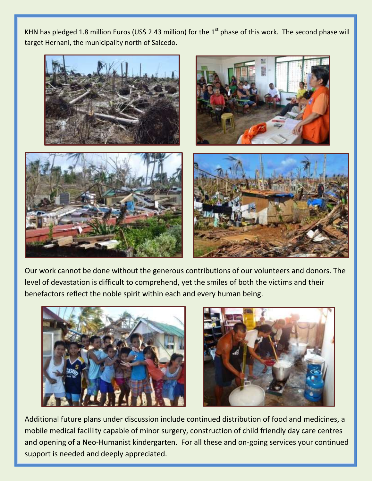KHN has pledged 1.8 million Euros (US\$ 2.43 million) for the  $1<sup>st</sup>$  phase of this work. The second phase will target Hernani, the municipality north of Salcedo.



Our work cannot be done without the generous contributions of our volunteers and donors. The level of devastation is difficult to comprehend, yet the smiles of both the victims and their benefactors reflect the noble spirit within each and every human being.





Additional future plans under discussion include continued distribution of food and medicines, a mobile medical facililty capable of minor surgery, construction of child friendly day care centres and opening of a Neo-Humanist kindergarten. For all these and on-going services your continued support is needed and deeply appreciated.